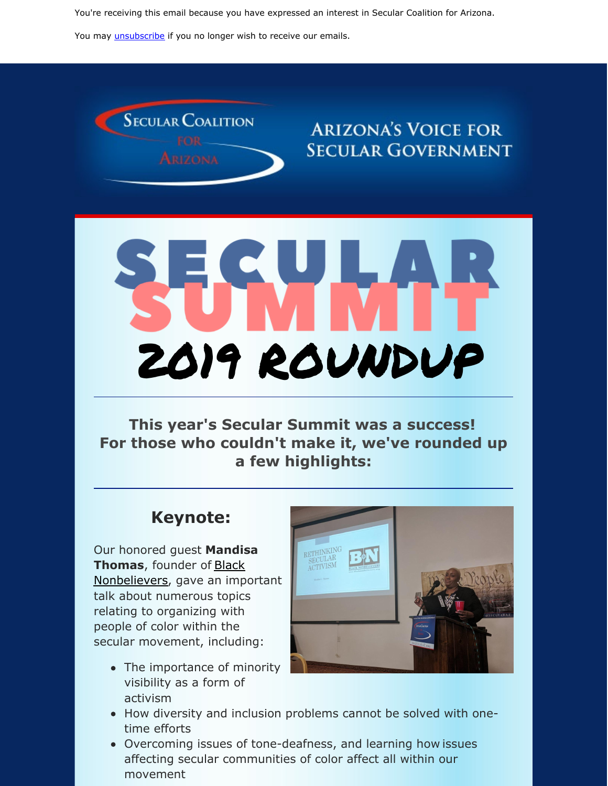You're receiving this email because you have expressed an interest in Secular Coalition for Arizona.

You may *[unsubscribe](https://visitor.constantcontact.com/do?p=un&m=001P9cdir9A6TjtWqZlUS4EUA%3D%3D&ch=&ca=42faa150-c5cc-4dcf-9a1c-7e7085bdd43b)* if you no longer wish to receive our emails.



# **ARIZONA'S VOICE FOR SECULAR GOVERNMENT**



**This year's Secular Summit was a success! For those who couldn't make it, we've rounded up a few highlights:**

#### **Keynote:**

Our honored guest **Mandisa Thomas**, founder of Black [Nonbelievers,](https://blacknonbelievers.com/) gave an important talk about numerous topics relating to organizing with people of color within the secular movement, including:

• The importance of minority visibility as a form of activism



- How diversity and inclusion problems cannot be solved with onetime efforts
- Overcoming issues of tone-deafness, and learning how issues affecting secular communities of color affect all within our movement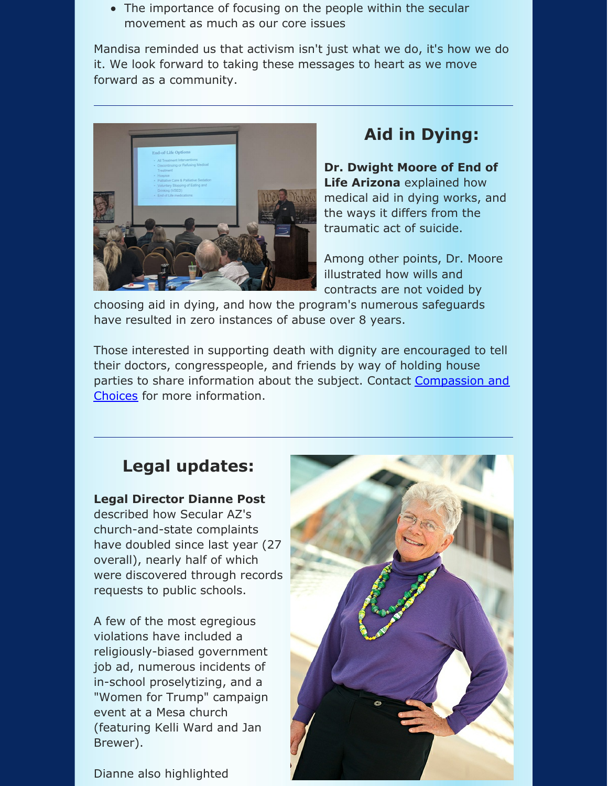• The importance of focusing on the people within the secular movement as much as our core issues

Mandisa reminded us that activism isn't just what we do, it's how we do it. We look forward to taking these messages to heart as we move forward as a community.



## **Aid in Dying:**

**Dr. Dwight Moore of End of Life Arizona** explained how medical aid in dying works, and the ways it differs from the traumatic act of suicide.

Among other points, Dr. Moore illustrated how wills and contracts are not voided by

choosing aid in dying, and how the program's numerous safeguards have resulted in zero instances of abuse over 8 years.

Those interested in supporting death with dignity are encouraged to tell their doctors, congresspeople, and friends by way of holding house parties to share information about the subject. Contact Compassion and Choices for more [information.](https://choicesarizona.org/)

#### **Legal updates:**

**Legal Director Dianne Post** described how Secular AZ's church-and-state complaints have doubled since last year (27 overall), nearly half of which were discovered through records requests to public schools.

A few of the most egregious violations have included a religiously-biased government job ad, numerous incidents of in-school proselytizing, and a "Women for Trump" campaign event at a Mesa church (featuring Kelli Ward and Jan Brewer).



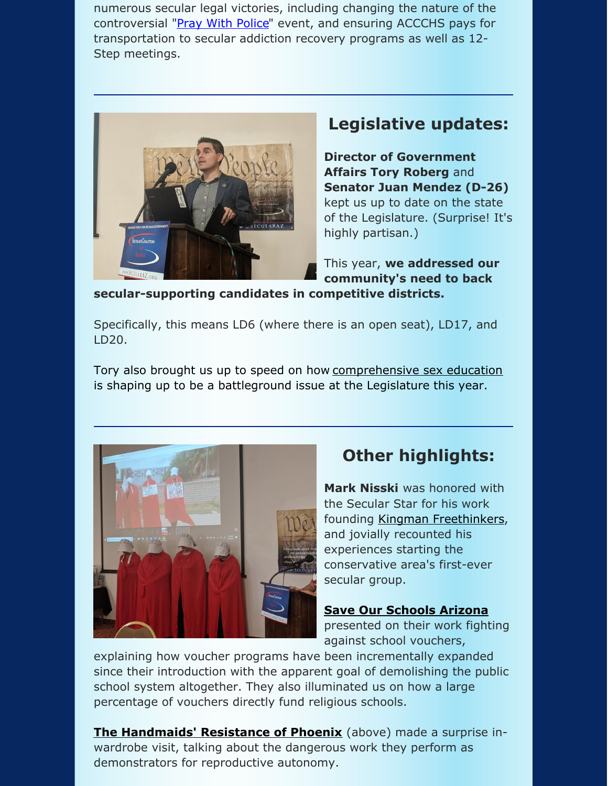numerous secular legal victories, including changing the nature of the controversial "Pray With [Police](https://www.phoenixnewtimes.com/news/phoenix-police-united-in-christ-event-backlash-chief-jeri-williams-11367261)" event, and ensuring ACCCHS pays for transportation to secular addiction recovery programs as well as 12- Step meetings.



## **Legislative updates:**

**Director of Government Affairs Tory Roberg** and **Senator Juan Mendez (D-26)** kept us up to date on the state of the Legislature. (Surprise! It's highly partisan.)

This year, **we addressed our community's need to back**

**secular-supporting candidates in competitive districts.**

Specifically, this means LD6 (where there is an open seat), LD17, and LD20.

Tory also brought us up to speed on how [comprehensive](https://www.azcentral.com/story/news/politics/arizona-education/2019/09/18/controversial-arizona-group-claims-sex-education-hurting-kids-lgbtq-2020-election/2345784001/) sex education is shaping up to be a battleground issue at the Legislature this year.



# **Other highlights:**

**Mark Nisski** was honored with the Secular Star for his work founding Kingman [Freethinkers](http://kingmanfreethinkers.org/), and jovially recounted his experiences starting the conservative area's first-ever secular group.

**Save Our [Schools](https://sosarizona.org/) Arizona** presented on their work fighting against school vouchers,

explaining how voucher programs have been incrementally expanded since their introduction with the apparent goal of demolishing the public school system altogether. They also illuminated us on how a large percentage of vouchers directly fund religious schools.

**The [Handmaids'](https://www.facebook.com/HandmaidsResistancePHX/) Resistance of Phoenix** (above) made a surprise inwardrobe visit, talking about the dangerous work they perform as demonstrators for reproductive autonomy.